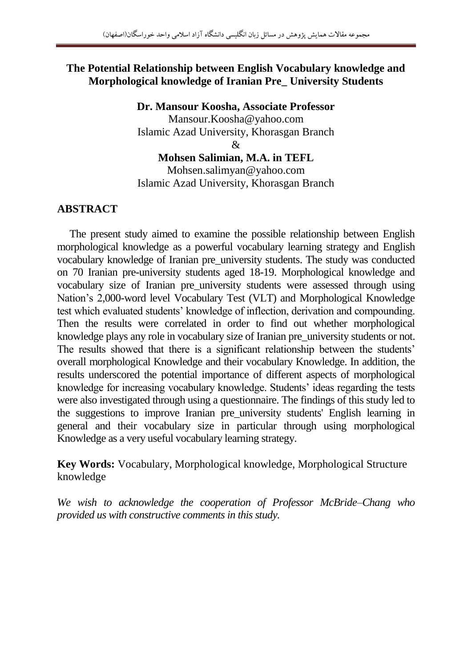#### **The Potential Relationship between English Vocabulary knowledge and Morphological knowledge of Iranian Pre\_ University Students**

**Dr. Mansour Koosha, Associate Professor** Mansour.Koosha@yahoo.com Islamic Azad University, Khorasgan Branch  $\mathcal{R}$ **Mohsen Salimian, M.A. in TEFL**

Mohsen.salimyan@yahoo.com Islamic Azad University, Khorasgan Branch

#### **ABSTRACT**

 The present study aimed to examine the possible relationship between English morphological knowledge as a powerful vocabulary learning strategy and English vocabulary knowledge of Iranian pre\_university students. The study was conducted on 70 Iranian pre-university students aged 18-19. Morphological knowledge and vocabulary size of Iranian pre\_university students were assessed through using Nation"s 2,000-word level Vocabulary Test (VLT) and Morphological Knowledge test which evaluated students' knowledge of inflection, derivation and compounding. Then the results were correlated in order to find out whether morphological knowledge plays any role in vocabulary size of Iranian pre\_university students or not. The results showed that there is a significant relationship between the students' overall morphological Knowledge and their vocabulary Knowledge. In addition, the results underscored the potential importance of different aspects of morphological knowledge for increasing vocabulary knowledge. Students' ideas regarding the tests were also investigated through using a questionnaire. The findings of this study led to the suggestions to improve Iranian pre\_university students' English learning in general and their vocabulary size in particular through using morphological Knowledge as a very useful vocabulary learning strategy.

**Key Words:** Vocabulary, Morphological knowledge, Morphological Structure knowledge

*We wish to acknowledge the cooperation of Professor McBride–Chang who provided us with constructive comments in this study.*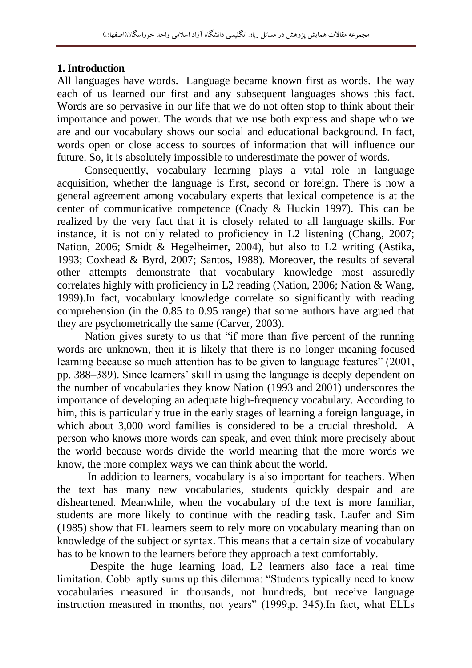## **1. Introduction**

All languages have words. Language became known first as words. The way each of us learned our first and any subsequent languages shows this fact. Words are so pervasive in our life that we do not often stop to think about their importance and power. The words that we use both express and shape who we are and our vocabulary shows our social and educational background. In fact, words open or close access to sources of information that will influence our future. So, it is absolutely impossible to underestimate the power of words.

 Consequently, vocabulary learning plays a vital role in language acquisition, whether the language is first, second or foreign. There is now a general agreement among vocabulary experts that lexical competence is at the center of communicative competence (Coady & Huckin 1997). This can be realized by the very fact that it is closely related to all language skills. For instance, it is not only related to proficiency in L2 listening (Chang, 2007; Nation, 2006; Smidt & Hegelheimer, 2004), but also to L2 writing (Astika, 1993; Coxhead & Byrd, 2007; Santos, 1988). Moreover, the results of several other attempts demonstrate that vocabulary knowledge most assuredly correlates highly with proficiency in L2 reading (Nation, 2006; Nation & Wang, 1999).In fact, vocabulary knowledge correlate so significantly with reading comprehension (in the 0.85 to 0.95 range) that some authors have argued that they are psychometrically the same (Carver, 2003).

 Nation gives surety to us that "if more than five percent of the running words are unknown, then it is likely that there is no longer meaning-focused learning because so much attention has to be given to language features" (2001, pp. 388–389). Since learners" skill in using the language is deeply dependent on the number of vocabularies they know Nation (1993 and 2001) underscores the importance of developing an adequate high-frequency vocabulary. According to him, this is particularly true in the early stages of learning a foreign language, in which about 3,000 word families is considered to be a crucial threshold. A person who knows more words can speak, and even think more precisely about the world because words divide the world meaning that the more words we know, the more complex ways we can think about the world.

 In addition to learners, vocabulary is also important for teachers. When the text has many new vocabularies, students quickly despair and are disheartened. Meanwhile, when the vocabulary of the text is more familiar, students are more likely to continue with the reading task. Laufer and Sim (1985) show that FL learners seem to rely more on vocabulary meaning than on knowledge of the subject or syntax. This means that a certain size of vocabulary has to be known to the learners before they approach a text comfortably.

 Despite the huge learning load, L2 learners also face a real time limitation. Cobb aptly sums up this dilemma: "Students typically need to know vocabularies measured in thousands, not hundreds, but receive language instruction measured in months, not years" (1999,p. 345).In fact, what ELLs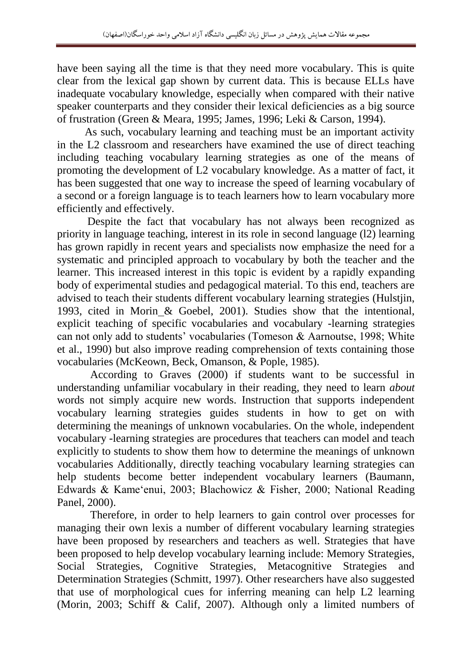have been saying all the time is that they need more vocabulary. This is quite clear from the lexical gap shown by current data. This is because ELLs have inadequate vocabulary knowledge, especially when compared with their native speaker counterparts and they consider their lexical deficiencies as a big source of frustration (Green & Meara, 1995; James, 1996; Leki & Carson, 1994).

 As such, vocabulary learning and teaching must be an important activity in the L2 classroom and researchers have examined the use of direct teaching including teaching vocabulary learning strategies as one of the means of promoting the development of L2 vocabulary knowledge. As a matter of fact, it has been suggested that one way to increase the speed of learning vocabulary of a second or a foreign language is to teach learners how to learn vocabulary more efficiently and effectively.

 Despite the fact that vocabulary has not always been recognized as priority in language teaching, interest in its role in second language (l2) learning has grown rapidly in recent years and specialists now emphasize the need for a systematic and principled approach to vocabulary by both the teacher and the learner. This increased interest in this topic is evident by a rapidly expanding body of experimental studies and pedagogical material. To this end, teachers are advised to teach their students different vocabulary learning strategies (Hulstjin, 1993, cited in Morin & Goebel, 2001). Studies show that the intentional, explicit teaching of specific vocabularies and vocabulary -learning strategies can not only add to students" vocabularies (Tomeson & Aarnoutse, 1998; White et al., 1990) but also improve reading comprehension of texts containing those vocabularies (McKeown, Beck, Omanson, & Pople, 1985).

 According to Graves (2000) if students want to be successful in understanding unfamiliar vocabulary in their reading, they need to learn *about*  words not simply acquire new words. Instruction that supports independent vocabulary learning strategies guides students in how to get on with determining the meanings of unknown vocabularies. On the whole, independent vocabulary -learning strategies are procedures that teachers can model and teach explicitly to students to show them how to determine the meanings of unknown vocabularies Additionally, directly teaching vocabulary learning strategies can help students become better independent vocabulary learners (Baumann, Edwards & Kame"enui, 2003; Blachowicz & Fisher, 2000; National Reading Panel, 2000).

 Therefore, in order to help learners to gain control over processes for managing their own lexis a number of different vocabulary learning strategies have been proposed by researchers and teachers as well. Strategies that have been proposed to help develop vocabulary learning include: Memory Strategies, Social Strategies, Cognitive Strategies, Metacognitive Strategies and Determination Strategies (Schmitt, 1997). Other researchers have also suggested that use of morphological cues for inferring meaning can help L2 learning (Morin, 2003; Schiff & Calif, 2007). Although only a limited numbers of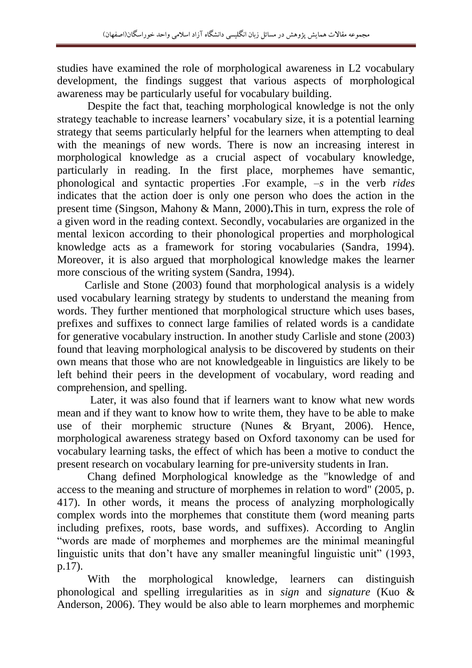studies have examined the role of morphological awareness in L2 vocabulary development, the findings suggest that various aspects of morphological awareness may be particularly useful for vocabulary building.

 Despite the fact that, teaching morphological knowledge is not the only strategy teachable to increase learners' vocabulary size, it is a potential learning strategy that seems particularly helpful for the learners when attempting to deal with the meanings of new words. There is now an increasing interest in morphological knowledge as a crucial aspect of vocabulary knowledge, particularly in reading. In the first place, morphemes have semantic, phonological and syntactic properties .For example, –*s* in the verb *rides*  indicates that the action doer is only one person who does the action in the present time (Singson, Mahony & Mann, 2000)**.**This in turn, express the role of a given word in the reading context. Secondly, vocabularies are organized in the mental lexicon according to their phonological properties and morphological knowledge acts as a framework for storing vocabularies (Sandra, 1994). Moreover, it is also argued that morphological knowledge makes the learner more conscious of the writing system (Sandra, 1994).

 Carlisle and Stone (2003) found that morphological analysis is a widely used vocabulary learning strategy by students to understand the meaning from words. They further mentioned that morphological structure which uses bases, prefixes and suffixes to connect large families of related words is a candidate for generative vocabulary instruction. In another study Carlisle and stone (2003) found that leaving morphological analysis to be discovered by students on their own means that those who are not knowledgeable in linguistics are likely to be left behind their peers in the development of vocabulary, word reading and comprehension, and spelling.

 Later, it was also found that if learners want to know what new words mean and if they want to know how to write them, they have to be able to make use of their morphemic structure (Nunes & Bryant, 2006). Hence, morphological awareness strategy based on Oxford taxonomy can be used for vocabulary learning tasks, the effect of which has been a motive to conduct the present research on vocabulary learning for pre-university students in Iran.

 Chang defined Morphological knowledge as the "knowledge of and access to the meaning and structure of morphemes in relation to word" (2005, p. 417). In other words, it means the process of analyzing morphologically complex words into the morphemes that constitute them (word meaning parts including prefixes, roots, base words, and suffixes). According to Anglin "words are made of morphemes and morphemes are the minimal meaningful linguistic units that don't have any smaller meaningful linguistic unit" (1993, p.17).

 With the morphological knowledge, learners can distinguish phonological and spelling irregularities as in *sign* and *signature* (Kuo & Anderson, 2006). They would be also able to learn morphemes and morphemic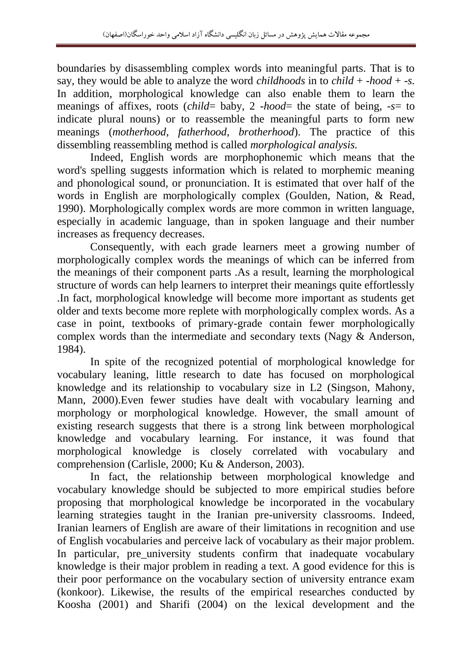boundaries by disassembling complex words into meaningful parts. That is to say, they would be able to analyze the word *childhoods* in to *child* + -*hood* + -*s.*  In addition*,* morphological knowledge can also enable them to learn the meanings of affixes, roots (*child*= baby, 2 -*hood*= the state of being, -*s*= to indicate plural nouns) or to reassemble the meaningful parts to form new meanings (*motherhood*, *fatherhood*, *brotherhood*). The practice of this dissembling reassembling method is called *morphological analysis.*

 Indeed, English words are morphophonemic which means that the word's spelling suggests information which is related to morphemic meaning and phonological sound, or pronunciation. It is estimated that over half of the words in English are morphologically complex (Goulden, Nation, & Read, 1990). Morphologically complex words are more common in written language, especially in academic language, than in spoken language and their number increases as frequency decreases.

 Consequently, with each grade learners meet a growing number of morphologically complex words the meanings of which can be inferred from the meanings of their component parts .As a result, learning the morphological structure of words can help learners to interpret their meanings quite effortlessly .In fact, morphological knowledge will become more important as students get older and texts become more replete with morphologically complex words. As a case in point, textbooks of primary-grade contain fewer morphologically complex words than the intermediate and secondary texts (Nagy & Anderson, 1984).

 In spite of the recognized potential of morphological knowledge for vocabulary leaning, little research to date has focused on morphological knowledge and its relationship to vocabulary size in L2 (Singson, Mahony, Mann, 2000).Even fewer studies have dealt with vocabulary learning and morphology or morphological knowledge. However, the small amount of existing research suggests that there is a strong link between morphological knowledge and vocabulary learning. For instance, it was found that morphological knowledge is closely correlated with vocabulary and comprehension (Carlisle, 2000; Ku & Anderson, 2003).

In fact, the relationship between morphological knowledge and vocabulary knowledge should be subjected to more empirical studies before proposing that morphological knowledge be incorporated in the vocabulary learning strategies taught in the Iranian pre-university classrooms. Indeed, Iranian learners of English are aware of their limitations in recognition and use of English vocabularies and perceive lack of vocabulary as their major problem. In particular, pre university students confirm that inadequate vocabulary knowledge is their major problem in reading a text. A good evidence for this is their poor performance on the vocabulary section of university entrance exam (konkoor). Likewise, the results of the empirical researches conducted by Koosha (2001) and Sharifi (2004) on the lexical development and the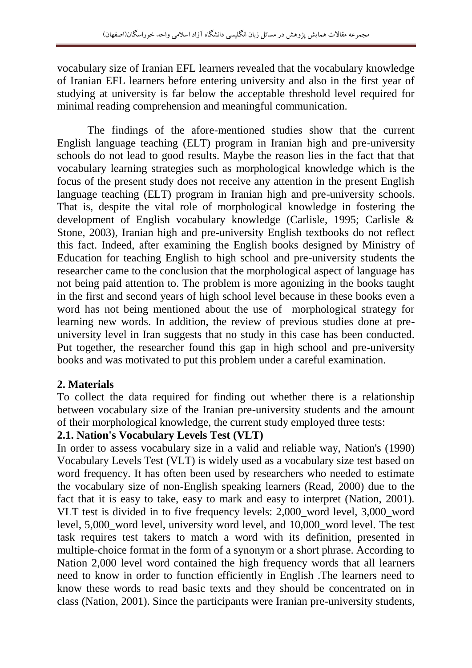vocabulary size of Iranian EFL learners revealed that the vocabulary knowledge of Iranian EFL learners before entering university and also in the first year of studying at university is far below the acceptable threshold level required for minimal reading comprehension and meaningful communication.

 The findings of the afore-mentioned studies show that the current English language teaching (ELT) program in Iranian high and pre-university schools do not lead to good results. Maybe the reason lies in the fact that that vocabulary learning strategies such as morphological knowledge which is the focus of the present study does not receive any attention in the present English language teaching (ELT) program in Iranian high and pre-university schools. That is, despite the vital role of morphological knowledge in fostering the development of English vocabulary knowledge (Carlisle, 1995; Carlisle & Stone, 2003), Iranian high and pre-university English textbooks do not reflect this fact. Indeed, after examining the English books designed by Ministry of Education for teaching English to high school and pre-university students the researcher came to the conclusion that the morphological aspect of language has not being paid attention to. The problem is more agonizing in the books taught in the first and second years of high school level because in these books even a word has not being mentioned about the use of morphological strategy for learning new words. In addition, the review of previous studies done at preuniversity level in Iran suggests that no study in this case has been conducted. Put together, the researcher found this gap in high school and pre-university books and was motivated to put this problem under a careful examination.

## **2. Materials**

To collect the data required for finding out whether there is a relationship between vocabulary size of the Iranian pre-university students and the amount of their morphological knowledge, the current study employed three tests:

## **2.1. Nation's Vocabulary Levels Test (VLT)**

In order to assess vocabulary size in a valid and reliable way, Nation's (1990) Vocabulary Levels Test (VLT) is widely used as a vocabulary size test based on word frequency. It has often been used by researchers who needed to estimate the vocabulary size of non-English speaking learners (Read, 2000) due to the fact that it is easy to take, easy to mark and easy to interpret (Nation, 2001). VLT test is divided in to five frequency levels: 2,000\_word level, 3,000\_word level, 5,000\_word level, university word level, and 10,000\_word level. The test task requires test takers to match a word with its definition, presented in multiple-choice format in the form of a synonym or a short phrase. According to Nation 2,000 level word contained the high frequency words that all learners need to know in order to function efficiently in English .The learners need to know these words to read basic texts and they should be concentrated on in class (Nation, 2001). Since the participants were Iranian pre-university students,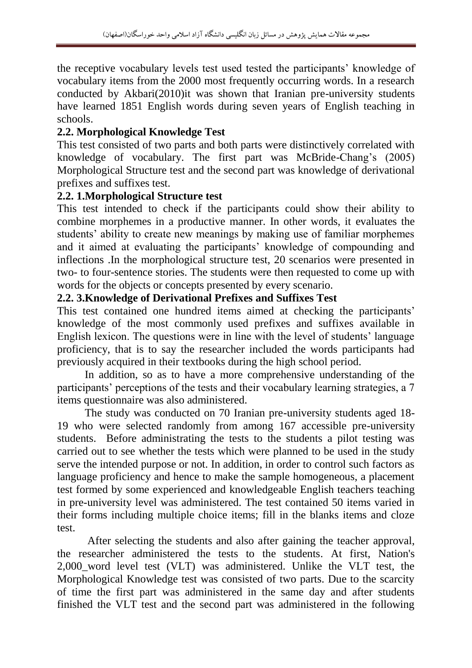the receptive vocabulary levels test used tested the participants" knowledge of vocabulary items from the 2000 most frequently occurring words. In a research conducted by Akbari(2010)it was shown that Iranian pre-university students have learned 1851 English words during seven years of English teaching in schools.

# **2.2. Morphological Knowledge Test**

This test consisted of two parts and both parts were distinctively correlated with knowledge of vocabulary. The first part was McBride-Chang"s (2005) Morphological Structure test and the second part was knowledge of derivational prefixes and suffixes test.

#### **2.2. 1.Morphological Structure test**

This test intended to check if the participants could show their ability to combine morphemes in a productive manner. In other words, it evaluates the students' ability to create new meanings by making use of familiar morphemes and it aimed at evaluating the participants' knowledge of compounding and inflections .In the morphological structure test, 20 scenarios were presented in two- to four-sentence stories. The students were then requested to come up with words for the objects or concepts presented by every scenario.

## **2.2. 3.Knowledge of Derivational Prefixes and Suffixes Test**

This test contained one hundred items aimed at checking the participants' knowledge of the most commonly used prefixes and suffixes available in English lexicon. The questions were in line with the level of students' language proficiency, that is to say the researcher included the words participants had previously acquired in their textbooks during the high school period.

 In addition, so as to have a more comprehensive understanding of the participants" perceptions of the tests and their vocabulary learning strategies, a 7 items questionnaire was also administered.

 The study was conducted on 70 Iranian pre-university students aged 18- 19 who were selected randomly from among 167 accessible pre-university students. Before administrating the tests to the students a pilot testing was carried out to see whether the tests which were planned to be used in the study serve the intended purpose or not. In addition, in order to control such factors as language proficiency and hence to make the sample homogeneous, a placement test formed by some experienced and knowledgeable English teachers teaching in pre-university level was administered. The test contained 50 items varied in their forms including multiple choice items; fill in the blanks items and cloze test.

 After selecting the students and also after gaining the teacher approval, the researcher administered the tests to the students. At first, Nation's 2,000\_word level test (VLT) was administered. Unlike the VLT test, the Morphological Knowledge test was consisted of two parts. Due to the scarcity of time the first part was administered in the same day and after students finished the VLT test and the second part was administered in the following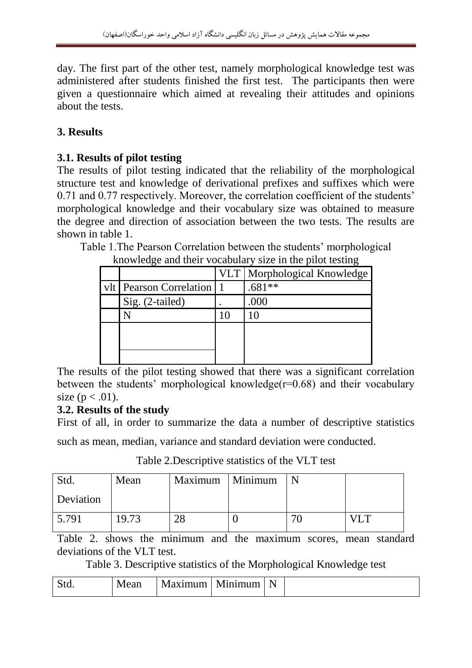day. The first part of the other test, namely morphological knowledge test was administered after students finished the first test. The participants then were given a questionnaire which aimed at revealing their attitudes and opinions about the tests.

# **3. Results**

## **3.1. Results of pilot testing**

The results of pilot testing indicated that the reliability of the morphological structure test and knowledge of derivational prefixes and suffixes which were 0.71 and 0.77 respectively. Moreover, the correlation coefficient of the students' morphological knowledge and their vocabulary size was obtained to measure the degree and direction of association between the two tests. The results are shown in table 1.

Table 1.The Pearson Correlation between the students" morphological

|                               |    | VLT   Morphological Knowledge |
|-------------------------------|----|-------------------------------|
| vlt   Pearson Correlation   1 |    | $.681**$                      |
| Sig. (2-tailed)               |    | .000                          |
|                               | 10 |                               |
|                               |    |                               |
|                               |    |                               |
|                               |    |                               |

knowledge and their vocabulary size in the pilot testing

The results of the pilot testing showed that there was a significant correlation between the students' morphological knowledge( $r=0.68$ ) and their vocabulary size ( $p < .01$ ).

## **3.2. Results of the study**

First of all, in order to summarize the data a number of descriptive statistics

such as mean, median, variance and standard deviation were conducted.

| Std.      | Mean  | Maximum   Minimum |    |  |
|-----------|-------|-------------------|----|--|
| Deviation |       |                   |    |  |
| 5.791     | 19.73 | າຈ                | 7. |  |

Table 2.Descriptive statistics of the VLT test

Table 2. shows the minimum and the maximum scores, mean standard deviations of the VLT test.

Table 3. Descriptive statistics of the Morphological Knowledge test

| N.<br>12 amin'<br><b>Teall</b><br>עו<br>$\mathbf{u}$<br>wu. | N |
|-------------------------------------------------------------|---|
|-------------------------------------------------------------|---|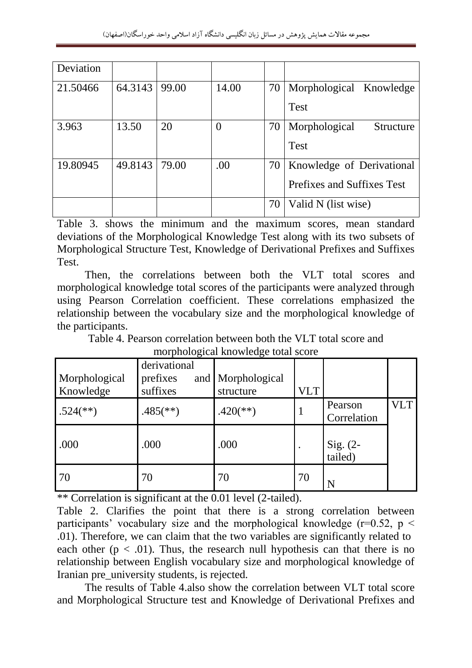| Deviation |         |       |                |    |                                   |
|-----------|---------|-------|----------------|----|-----------------------------------|
| 21.50466  | 64.3143 | 99.00 | 14.00          | 70 | Morphological Knowledge           |
|           |         |       |                |    | Test                              |
| 3.963     | 13.50   | 20    | $\overline{0}$ | 70 | Morphological<br><b>Structure</b> |
|           |         |       |                |    | <b>Test</b>                       |
| 19.80945  | 49.8143 | 79.00 | .00            | 70 | Knowledge of Derivational         |
|           |         |       |                |    | Prefixes and Suffixes Test        |
|           |         |       |                | 70 | Valid N (list wise)               |

Table 3. shows the minimum and the maximum scores, mean standard deviations of the Morphological Knowledge Test along with its two subsets of Morphological Structure Test, Knowledge of Derivational Prefixes and Suffixes Test.

 Then, the correlations between both the VLT total scores and morphological knowledge total scores of the participants were analyzed through using Pearson Correlation coefficient. These correlations emphasized the relationship between the vocabulary size and the morphological knowledge of the participants.

Table 4. Pearson correlation between both the VLT total score and morphological knowledge total score

| morphorogical knowledge total beore |                          |                          |            |                     |     |  |  |  |
|-------------------------------------|--------------------------|--------------------------|------------|---------------------|-----|--|--|--|
|                                     | derivational             |                          |            |                     |     |  |  |  |
| Morphological                       | prefixes                 | and Morphological        |            |                     |     |  |  |  |
| Knowledge                           | suffixes                 | structure                | <b>VLT</b> |                     |     |  |  |  |
| $.524$ <sup>(**)</sup> )            | $.485$ <sup>(**)</sup> ) | $.420$ <sup>(**)</sup> ) |            | Pearson             | VLT |  |  |  |
|                                     |                          |                          |            | Correlation         |     |  |  |  |
|                                     |                          |                          |            |                     |     |  |  |  |
| .000                                | .000                     | .000                     |            | Sig. (2-<br>tailed) |     |  |  |  |
|                                     |                          |                          |            |                     |     |  |  |  |
| 70                                  | 70                       | 70                       | 70         |                     |     |  |  |  |
|                                     |                          |                          |            | N                   |     |  |  |  |

\*\* Correlation is significant at the 0.01 level (2-tailed).

Table 2. Clarifies the point that there is a strong correlation between participants' vocabulary size and the morphological knowledge ( $r=0.52$ ,  $p <$ .01). Therefore, we can claim that the two variables are significantly related to each other ( $p < .01$ ). Thus, the research null hypothesis can that there is no relationship between English vocabulary size and morphological knowledge of Iranian pre\_university students, is rejected.

 The results of Table 4.also show the correlation between VLT total score and Morphological Structure test and Knowledge of Derivational Prefixes and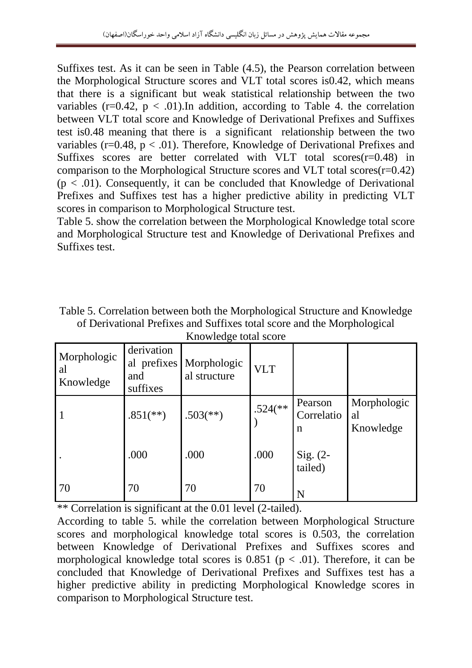Suffixes test. As it can be seen in Table (4.5), the Pearson correlation between the Morphological Structure scores and VLT total scores is0.42, which means that there is a significant but weak statistical relationship between the two variables ( $r=0.42$ ,  $p < .01$ ). In addition, according to Table 4. the correlation between VLT total score and Knowledge of Derivational Prefixes and Suffixes test is0.48 meaning that there is a significant relationship between the two variables ( $r=0.48$ ,  $p < .01$ ). Therefore, Knowledge of Derivational Prefixes and Suffixes scores are better correlated with VLT total scores(r=0.48) in comparison to the Morphological Structure scores and VLT total scores( $r=0.42$ )  $(p < .01)$ . Consequently, it can be concluded that Knowledge of Derivational Prefixes and Suffixes test has a higher predictive ability in predicting VLT scores in comparison to Morphological Structure test.

Table 5. show the correlation between the Morphological Knowledge total score and Morphological Structure test and Knowledge of Derivational Prefixes and Suffixes test.

| Table 5. Correlation between both the Morphological Structure and Knowledge |
|-----------------------------------------------------------------------------|
| of Derivational Prefixes and Suffixes total score and the Morphological     |
| Knowledge total score                                                       |

| Morphologic<br>al<br>Knowledge | derivation<br>al prefixes<br>and<br>suffixes | ັ<br>Morphologic<br>al structure | <b>VLT</b>              |                                      |                                |
|--------------------------------|----------------------------------------------|----------------------------------|-------------------------|--------------------------------------|--------------------------------|
|                                | $.851$ <sup>(**)</sup> )                     | $.503$ <sup>(**)</sup> )         | $.524$ <sup>(**</sup> ) | Pearson<br>Correlatio<br>$\mathbf n$ | Morphologic<br>al<br>Knowledge |
|                                | .000                                         | .000                             | .000                    | Sig. (2-<br>tailed)                  |                                |
| 70                             | 70                                           | 70                               | 70                      | N                                    |                                |

\*\* Correlation is significant at the 0.01 level (2-tailed).

According to table 5. while the correlation between Morphological Structure scores and morphological knowledge total scores is 0.503, the correlation between Knowledge of Derivational Prefixes and Suffixes scores and morphological knowledge total scores is  $0.851$  ( $p < .01$ ). Therefore, it can be concluded that Knowledge of Derivational Prefixes and Suffixes test has a higher predictive ability in predicting Morphological Knowledge scores in comparison to Morphological Structure test.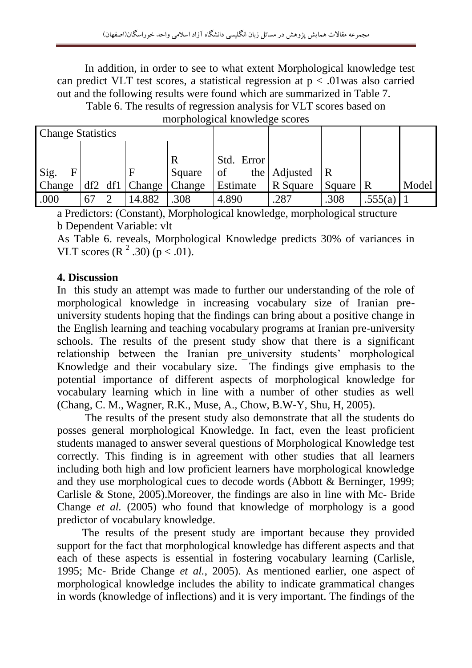In addition, in order to see to what extent Morphological knowledge test can predict VLT test scores, a statistical regression at  $p < 0.01$  was also carried out and the following results were found which are summarized in Table 7.

Table 6. The results of regression analysis for VLT scores based on

| morphological knowledge scores |  |         |               |        |            |                |              |               |       |  |  |
|--------------------------------|--|---------|---------------|--------|------------|----------------|--------------|---------------|-------|--|--|
| <b>Change Statistics</b>       |  |         |               |        |            |                |              |               |       |  |  |
|                                |  |         |               |        |            |                |              |               |       |  |  |
|                                |  |         |               |        | Std. Error |                |              |               |       |  |  |
| Sig.<br>F                      |  |         |               | Square | of         | the   Adjusted | $\mathbb{R}$ |               |       |  |  |
| Change                         |  | df2 df1 | $\Box$ Change | Change | Estimate   | R Square       | Square       | $\parallel$ R | Model |  |  |
| .000                           |  |         | 14.882        | .308   | 4.890      | .287           | .308         | .555(a)       |       |  |  |

morphological knowledge scores

a Predictors: (Constant), Morphological knowledge, morphological structure b Dependent Variable: vlt

As Table 6. reveals, Morphological Knowledge predicts 30% of variances in VLT scores  $(R^2 .30)$  ( $p < .01$ ).

# **4. Discussion**

In this study an attempt was made to further our understanding of the role of morphological knowledge in increasing vocabulary size of Iranian preuniversity students hoping that the findings can bring about a positive change in the English learning and teaching vocabulary programs at Iranian pre-university schools. The results of the present study show that there is a significant relationship between the Iranian pre\_university students" morphological Knowledge and their vocabulary size. The findings give emphasis to the potential importance of different aspects of morphological knowledge for vocabulary learning which in line with a number of other studies as well (Chang, C. M., Wagner, R.K., Muse, A., Chow, B.W-Y, Shu, H, 2005).

 The results of the present study also demonstrate that all the students do posses general morphological Knowledge. In fact, even the least proficient students managed to answer several questions of Morphological Knowledge test correctly. This finding is in agreement with other studies that all learners including both high and low proficient learners have morphological knowledge and they use morphological cues to decode words (Abbott & Berninger, 1999; Carlisle & Stone, 2005).Moreover, the findings are also in line with Mc- Bride Change *et al.* (2005) who found that knowledge of morphology is a good predictor of vocabulary knowledge.

 The results of the present study are important because they provided support for the fact that morphological knowledge has different aspects and that each of these aspects is essential in fostering vocabulary learning (Carlisle, 1995; Mc- Bride Change *et al.*, 2005). As mentioned earlier, one aspect of morphological knowledge includes the ability to indicate grammatical changes in words (knowledge of inflections) and it is very important. The findings of the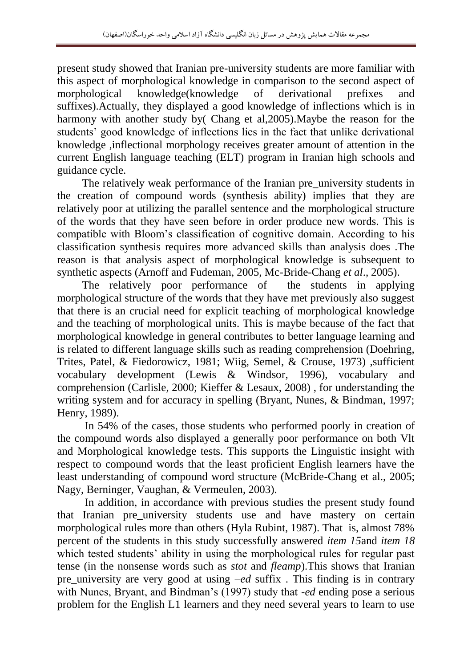present study showed that Iranian pre-university students are more familiar with this aspect of morphological knowledge in comparison to the second aspect of morphological knowledge(knowledge of derivational prefixes and suffixes).Actually, they displayed a good knowledge of inflections which is in harmony with another study by( Chang et al,2005).Maybe the reason for the students" good knowledge of inflections lies in the fact that unlike derivational knowledge ,inflectional morphology receives greater amount of attention in the current English language teaching (ELT) program in Iranian high schools and guidance cycle.

 The relatively weak performance of the Iranian pre\_university students in the creation of compound words (synthesis ability) implies that they are relatively poor at utilizing the parallel sentence and the morphological structure of the words that they have seen before in order produce new words. This is compatible with Bloom"s classification of cognitive domain. According to his classification synthesis requires more advanced skills than analysis does .The reason is that analysis aspect of morphological knowledge is subsequent to synthetic aspects (Arnoff and Fudeman, 2005, Mc-Bride-Chang *et al*., 2005).

 The relatively poor performance of the students in applying morphological structure of the words that they have met previously also suggest that there is an crucial need for explicit teaching of morphological knowledge and the teaching of morphological units. This is maybe because of the fact that morphological knowledge in general contributes to better language learning and is related to different language skills such as reading comprehension (Doehring, Trites, Patel, & Fiedorowicz, 1981; Wiig, Semel, & Crouse, 1973) ,sufficient vocabulary development (Lewis & Windsor, 1996), vocabulary and comprehension (Carlisle, 2000; Kieffer & Lesaux, 2008) , for understanding the writing system and for accuracy in spelling (Bryant, Nunes, & Bindman, 1997; Henry, 1989).

 In 54% of the cases, those students who performed poorly in creation of the compound words also displayed a generally poor performance on both Vlt and Morphological knowledge tests. This supports the Linguistic insight with respect to compound words that the least proficient English learners have the least understanding of compound word structure (McBride-Chang et al., 2005; Nagy, Berninger, Vaughan, & Vermeulen, 2003).

 In addition, in accordance with previous studies the present study found that Iranian pre\_university students use and have mastery on certain morphological rules more than others (Hyla Rubint, 1987). That is, almost 78% percent of the students in this study successfully answered *item 15*and *item 18* which tested students' ability in using the morphological rules for regular past tense (in the nonsense words such as *stot* and *fleamp*).This shows that Iranian pre\_university are very good at using *–ed* suffix . This finding is in contrary with Nunes, Bryant, and Bindman"s (1997) study that -*ed* ending pose a serious problem for the English L1 learners and they need several years to learn to use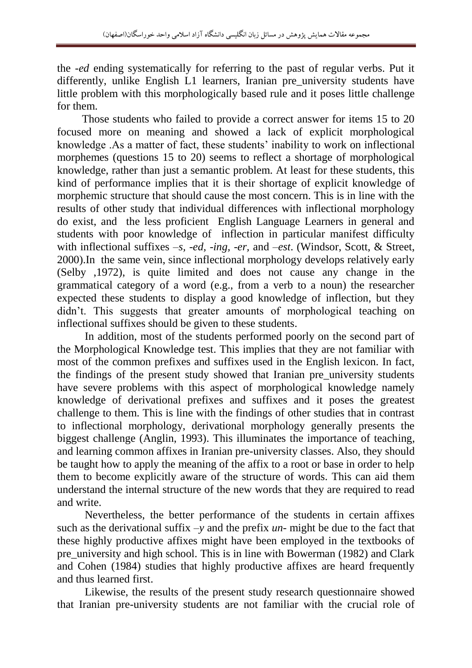the -*ed* ending systematically for referring to the past of regular verbs. Put it differently, unlike English L1 learners, Iranian pre\_university students have little problem with this morphologically based rule and it poses little challenge for them.

 Those students who failed to provide a correct answer for items 15 to 20 focused more on meaning and showed a lack of explicit morphological knowledge .As a matter of fact, these students' inability to work on inflectional morphemes (questions 15 to 20) seems to reflect a shortage of morphological knowledge, rather than just a semantic problem. At least for these students, this kind of performance implies that it is their shortage of explicit knowledge of morphemic structure that should cause the most concern. This is in line with the results of other study that individual differences with inflectional morphology do exist, and the less proficient English Language Learners in general and students with poor knowledge of inflection in particular manifest difficulty with inflectional suffixes *–s, -ed, -ing, -er,* and *–est*. (Windsor, Scott, & Street, 2000).In the same vein, since inflectional morphology develops relatively early (Selby ,1972), is quite limited and does not cause any change in the grammatical category of a word (e.g., from a verb to a noun) the researcher expected these students to display a good knowledge of inflection, but they didn't. This suggests that greater amounts of morphological teaching on inflectional suffixes should be given to these students.

 In addition, most of the students performed poorly on the second part of the Morphological Knowledge test. This implies that they are not familiar with most of the common prefixes and suffixes used in the English lexicon. In fact, the findings of the present study showed that Iranian pre\_university students have severe problems with this aspect of morphological knowledge namely knowledge of derivational prefixes and suffixes and it poses the greatest challenge to them. This is line with the findings of other studies that in contrast to inflectional morphology, derivational morphology generally presents the biggest challenge (Anglin, 1993). This illuminates the importance of teaching, and learning common affixes in Iranian pre-university classes. Also, they should be taught how to apply the meaning of the affix to a root or base in order to help them to become explicitly aware of the structure of words. This can aid them understand the internal structure of the new words that they are required to read and write.

 Nevertheless, the better performance of the students in certain affixes such as the derivational suffix *–y* and the prefix *un-* might be due to the fact that these highly productive affixes might have been employed in the textbooks of pre university and high school. This is in line with Bowerman (1982) and Clark and Cohen (1984) studies that highly productive affixes are heard frequently and thus learned first.

 Likewise, the results of the present study research questionnaire showed that Iranian pre-university students are not familiar with the crucial role of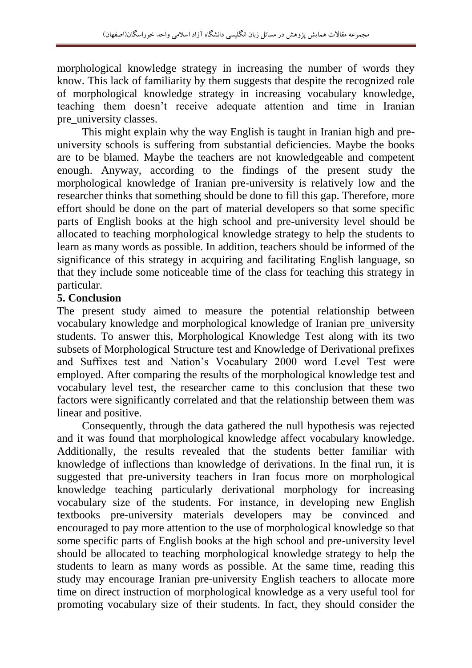morphological knowledge strategy in increasing the number of words they know. This lack of familiarity by them suggests that despite the recognized role of morphological knowledge strategy in increasing vocabulary knowledge, teaching them doesn"t receive adequate attention and time in Iranian pre university classes.

 This might explain why the way English is taught in Iranian high and preuniversity schools is suffering from substantial deficiencies. Maybe the books are to be blamed. Maybe the teachers are not knowledgeable and competent enough. Anyway, according to the findings of the present study the morphological knowledge of Iranian pre-university is relatively low and the researcher thinks that something should be done to fill this gap. Therefore, more effort should be done on the part of material developers so that some specific parts of English books at the high school and pre-university level should be allocated to teaching morphological knowledge strategy to help the students to learn as many words as possible. In addition, teachers should be informed of the significance of this strategy in acquiring and facilitating English language, so that they include some noticeable time of the class for teaching this strategy in particular.

## **5. Conclusion**

The present study aimed to measure the potential relationship between vocabulary knowledge and morphological knowledge of Iranian pre\_university students. To answer this, Morphological Knowledge Test along with its two subsets of Morphological Structure test and Knowledge of Derivational prefixes and Suffixes test and Nation"s Vocabulary 2000 word Level Test were employed. After comparing the results of the morphological knowledge test and vocabulary level test, the researcher came to this conclusion that these two factors were significantly correlated and that the relationship between them was linear and positive.

 Consequently, through the data gathered the null hypothesis was rejected and it was found that morphological knowledge affect vocabulary knowledge. Additionally, the results revealed that the students better familiar with knowledge of inflections than knowledge of derivations. In the final run, it is suggested that pre-university teachers in Iran focus more on morphological knowledge teaching particularly derivational morphology for increasing vocabulary size of the students. For instance, in developing new English textbooks pre-university materials developers may be convinced and encouraged to pay more attention to the use of morphological knowledge so that some specific parts of English books at the high school and pre-university level should be allocated to teaching morphological knowledge strategy to help the students to learn as many words as possible. At the same time, reading this study may encourage Iranian pre-university English teachers to allocate more time on direct instruction of morphological knowledge as a very useful tool for promoting vocabulary size of their students. In fact, they should consider the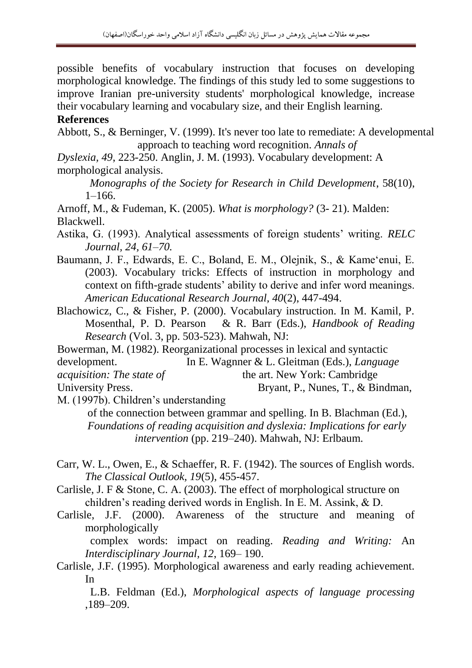possible benefits of vocabulary instruction that focuses on developing morphological knowledge. The findings of this study led to some suggestions to improve Iranian pre-university students' morphological knowledge, increase their vocabulary learning and vocabulary size, and their English learning.

#### **References**

Abbott, S., & Berninger, V. (1999). It's never too late to remediate: A developmental approach to teaching word recognition. *Annals of* 

*Dyslexia, 49*, 223-250. Anglin, J. M. (1993). Vocabulary development: A morphological analysis.

 *Monographs of the Society for Research in Child Development*, 58(10), 1–166.

Arnoff, M., & Fudeman, K. (2005). *What is morphology?* (3- 21). Malden: Blackwell.

Astika, G. (1993). Analytical assessments of foreign students" writing. *RELC Journal, 24, 61–70.*

Baumann, J. F., Edwards, E. C., Boland, E. M., Olejnik, S., & Kame'enui, E. (2003). Vocabulary tricks: Effects of instruction in morphology and context on fifth-grade students' ability to derive and infer word meanings. *American Educational Research Journal, 40*(2), 447-494.

Blachowicz, C., & Fisher, P. (2000). Vocabulary instruction. In M. Kamil, P. Mosenthal, P. D. Pearson & R. Barr (Eds.), *Handbook of Reading Research* (Vol. 3, pp. 503-523). Mahwah, NJ:

Bowerman, M. (1982). Reorganizational processes in lexical and syntactic

development. In E. Wagnner & L. Gleitman (Eds.), *Language* 

*acquisition: The state of* the art. New York: Cambridge

University Press. Bryant, P., Nunes, T., & Bindman, M. (1997b). Children"s understanding

 of the connection between grammar and spelling. In B. Blachman (Ed.), *Foundations of reading acquisition and dyslexia: Implications for early intervention* (pp. 219–240). Mahwah, NJ: Erlbaum.

- Carr, W. L., Owen, E., & Schaeffer, R. F. (1942). The sources of English words. *The Classical Outlook, 19*(5), 455-457.
- Carlisle, J. F & Stone, C. A. (2003). The effect of morphological structure on children"s reading derived words in English. In E. M. Assink, & D.
- Carlisle, J.F. (2000). Awareness of the structure and meaning of morphologically

 complex words: impact on reading. *Reading and Writing:* An *Interdisciplinary Journal, 12*, 169– 190.

Carlisle, J.F. (1995). Morphological awareness and early reading achievement. In

 L.B. Feldman (Ed.), *Morphological aspects of language processing* ,189–209.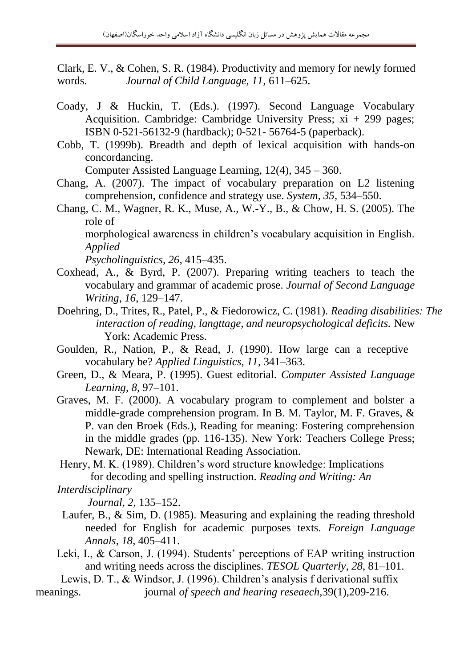Clark, E. V., & Cohen, S. R. (1984). Productivity and memory for newly formed words. *Journal of Child Language, 11,* 611–625.

- Coady, J & Huckin, T. (Eds.). (1997). Second Language Vocabulary Acquisition. Cambridge: Cambridge University Press; xi + 299 pages; ISBN 0-521-56132-9 (hardback); 0-521- 56764-5 (paperback).
- Cobb, T. (1999b). Breadth and depth of lexical acquisition with hands-on concordancing.

Computer Assisted Language Learning, 12(4), 345 – 360.

- Chang, A. (2007). The impact of vocabulary preparation on L2 listening comprehension, confidence and strategy use. *System*, *35*, 534–550.
- Chang, C. M., Wagner, R. K., Muse, A., W.-Y., B., & Chow, H. S. (2005). The role of

morphological awareness in children"s vocabulary acquisition in English. *Applied*

*Psycholinguistics, 26*, 415–435.

- Coxhead, A., & Byrd, P. (2007). Preparing writing teachers to teach the vocabulary and grammar of academic prose. *Journal of Second Language Writing*, *16*, 129–147.
- Doehring, D., Trites, R., Patel, P., & Fiedorowicz, C. (1981). *Reading disabilities: The interaction of reading, langttage, and neuropsychological deficits.* New York: Academic Press.
- Goulden, R., Nation, P., & Read, J. (1990). How large can a receptive vocabulary be? *Applied Linguistics, 11,* 341–363.
- Green, D., & Meara, P. (1995). Guest editorial. *Computer Assisted Language Learning*, *8*, 97–101.
- Graves, M. F. (2000). A vocabulary program to complement and bolster a middle-grade comprehension program. In B. M. Taylor, M. F. Graves, & P. van den Broek (Eds.), Reading for meaning: Fostering comprehension in the middle grades (pp. 116-135). New York: Teachers College Press; Newark, DE: International Reading Association.

Henry, M. K. (1989). Children"s word structure knowledge: Implications for decoding and spelling instruction. *Reading and Writing: An* 

```
Interdisciplinary
```
 *Journal, 2,* 135–152.

- Laufer, B., & Sim, D. (1985). Measuring and explaining the reading threshold needed for English for academic purposes texts. *Foreign Language Annals*, *18*, 405–411.
- Leki, I., & Carson, J. (1994). Students' perceptions of EAP writing instruction and writing needs across the disciplines. *TESOL Quarterly*, *28*, 81–101.

 Lewis, D. T., & Windsor, J. (1996). Children"s analysis f derivational suffix meanings. *journal of speech and hearing reseaech,***39(1),**209-216.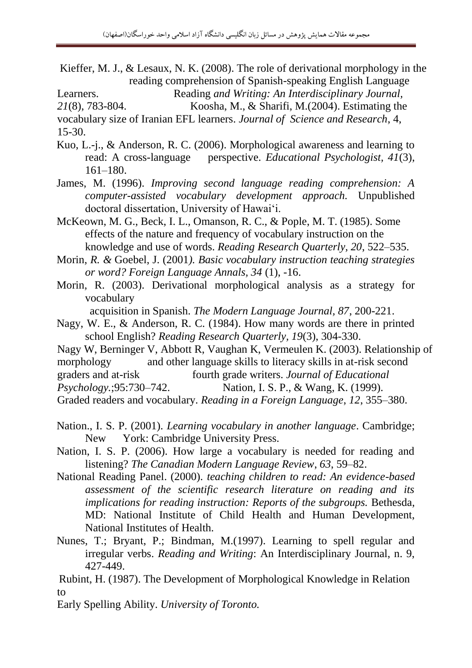Kieffer, M. J., & Lesaux, N. K. (2008). The role of derivational morphology in the reading comprehension of Spanish-speaking English Language

Learners. Reading *and Writing: An Interdisciplinary Journal,* 

*21*(8), 783-804. Koosha, M., & Sharifi, M.(2004). Estimating the

vocabulary size of Iranian EFL learners. *Journal of Science and Research*, 4, 15-30.

Kuo, L.-j., & Anderson, R. C. (2006). Morphological awareness and learning to read: A cross-language perspective. *Educational Psychologist, 41*(3), 161–180.

James, M. (1996). *Improving second language reading comprehension: A computer-assisted vocabulary development approach.* Unpublished doctoral dissertation, University of Hawai"i.

McKeown, M. G., Beck, I. L., Omanson, R. C., & Pople, M. T. (1985). Some effects of the nature and frequency of vocabulary instruction on the knowledge and use of words. *Reading Research Quarterly, 20*, 522–535.

Morin, *R. &* Goebel, J. (2001*). Basic vocabulary instruction teaching strategies or word? Foreign Language Annals, 34* (1), -16.

Morin, R. (2003). Derivational morphological analysis as a strategy for vocabulary

acquisition in Spanish. *The Modern Language Journal, 87*, 200-221.

- Nagy, W. E., & Anderson, R. C. (1984). How many words are there in printed school English? *Reading Research Quarterly, 19*(3), 304-330.
- Nagy W, Berninger V, Abbott R, Vaughan K, Vermeulen K. (2003). Relationship of
- morphology and other language skills to literacy skills in at-risk second

graders and at-risk fourth grade writers. *Journal of Educational* 

*Psychology.*;95:730–742. Nation, I. S. P., & Wang, K. (1999).

Graded readers and vocabulary. *Reading in a Foreign Language*, *12*, 355–380.

- Nation., I. S. P. (2001). *Learning vocabulary in another language*. Cambridge; New York: Cambridge University Press.
- Nation, I. S. P. (2006). How large a vocabulary is needed for reading and listening? *The Canadian Modern Language Review*, *63*, 59–82.
- National Reading Panel. (2000). *teaching children to read: An evidence-based assessment of the scientific research literature on reading and its implications for reading instruction: Reports of the subgroups. Bethesda,* MD: National Institute of Child Health and Human Development, National Institutes of Health.
- Nunes, T.; Bryant, P.; Bindman, M.(1997). Learning to spell regular and irregular verbs. *Reading and Writing*: An Interdisciplinary Journal, n. 9, 427-449.

 Rubint, H. (1987). The Development of Morphological Knowledge in Relation to

Early Spelling Ability. *University of Toronto.*